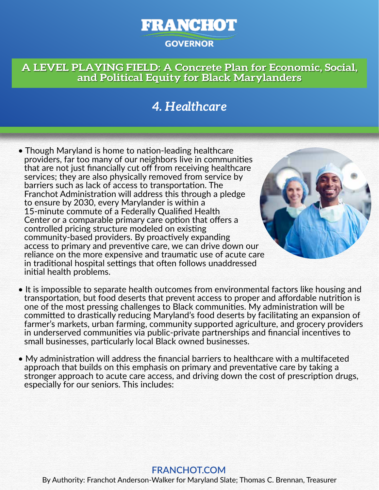# **FRANCHOT GOVERNOR**

### **A LEVEL PLAYING FIELD: A Concrete Plan for Economic, Social, and Political Equity for Black Marylanders**

## *4. Healthcare*

• Though Maryland is home to nation-leading healthcare providers, far too many of our neighbors live in communities that are not just financially cut off from receiving healthcare services; they are also physically removed from service by barriers such as lack of access to transportation. The Franchot Administration will address this through a pledge to ensure by 2030, every Marylander is within a 15-minute commute of a Federally Qualified Health Center or a comparable primary care option that offers a controlled pricing structure modeled on existing community-based providers. By proactively expanding access to primary and preventive care, we can drive down our reliance on the more expensive and traumatic use of acute care in traditional hospital settings that often follows unaddressed initial health problems.



- It is impossible to separate health outcomes from environmental factors like housing and transportation, but food deserts that prevent access to proper and affordable nutrition is one of the most pressing challenges to Black communities. My administration will be committed to drastically reducing Maryland's food deserts by facilitating an expansion of farmer's markets, urban farming, community supported agriculture, and grocery providers in underserved communities via public-private partnerships and financial incentives to small businesses, particularly local Black owned businesses.
- My administration will address the financial barriers to healthcare with a multifaceted approach that builds on this emphasis on primary and preventative care by taking a stronger approach to acute care access, and driving down the cost of prescription drugs, especially for our seniors. This includes:

#### By Authority: Franchot Anderson-Walker for Maryland Slate; Thomas C. Brennan, Treasurer **FRANCHOT.COM**